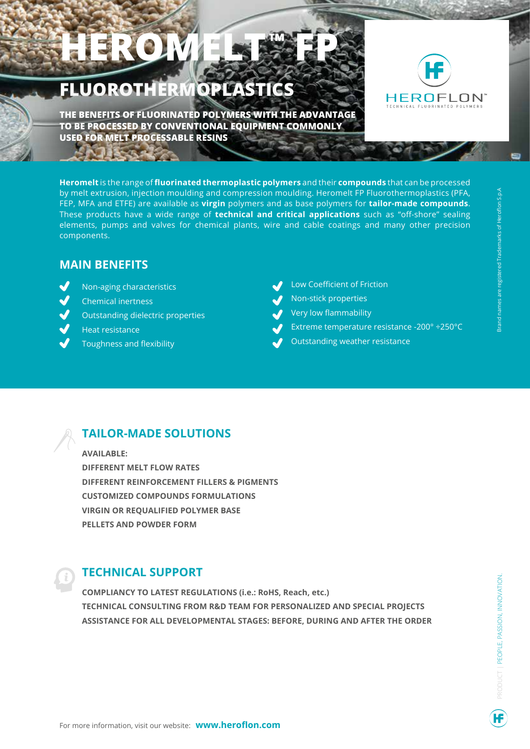## HEROM **FLUOROTHERMOPLASTICS**



**THE BENEFITS OF FLUORINATED POLYMERS WITH THE ADVANTAGE TO BE PROCESSED BY CONVENTIONAL EQUIPMENT COMMONLY USED FOR MELT PROCESSABLE RESINS**

**Heromelt** is the range of **fluorinated thermoplastic polymers** and their **compounds** that can be processed by melt extrusion, injection moulding and compression moulding. Heromelt FP Fluorothermoplastics (PFA, FEP, MFA and ETFE) are available as **virgin** polymers and as base polymers for **tailor-made compounds**. These products have a wide range of **technical and critical applications** such as "off-shore" sealing elements, pumps and valves for chemical plants, wire and cable coatings and many other precision components.

## **MAIN BENEFITS**

- Non-aging characteristics
- Chemical inertness
- Outstanding dielectric properties
- Heat resistance
- Toughness and flexibility
- Low Coefficient of Friction
- Non-stick properties
- Very low flammability
- Extreme temperature resistance -200° ÷250°C
- Outstanding weather resistance

## **TAILOR-MADE SOLUTIONS**

**AVAILABLE: DIFFERENT MELT FLOW RATES DIFFERENT REINFORCEMENT FILLERS & PIGMENTS CUSTOMIZED COMPOUNDS FORMULATIONS VIRGIN OR REQUALIFIED POLYMER BASE PELLETS AND POWDER FORM**

## **TECHNICAL SUPPORT**

**COMPLIANCY TO LATEST REGULATIONS (i.e.: RoHS, Reach, etc.) TECHNICAL CONSULTING FROM R&D TEAM FOR PERSONALIZED AND SPECIAL PROJECTS ASSISTANCE FOR ALL DEVELOPMENTAL STAGES: BEFORE, DURING AND AFTER THE ORDER**